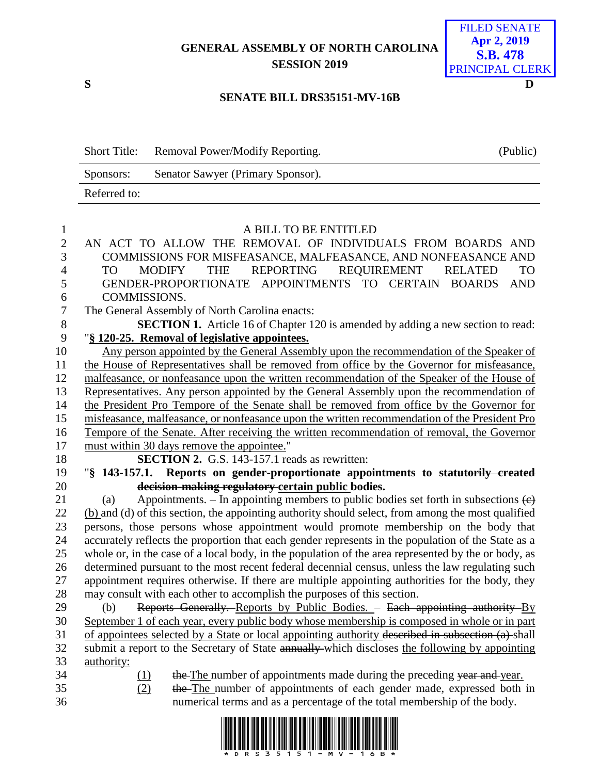## **GENERAL ASSEMBLY OF NORTH CAROLINA SESSION 2019**



## **SENATE BILL DRS35151-MV-16B**

| <b>Short Title:</b> | Removal Power/Modify Reporting.   | (Public) |
|---------------------|-----------------------------------|----------|
| Sponsors:           | Senator Sawyer (Primary Sponsor). |          |
| Referred to:        |                                   |          |

| $\mathbf{1}$   | A BILL TO BE ENTITLED                                                                                                                                    |
|----------------|----------------------------------------------------------------------------------------------------------------------------------------------------------|
| $\overline{2}$ | AN ACT TO ALLOW THE REMOVAL OF INDIVIDUALS FROM BOARDS AND                                                                                               |
| 3              | COMMISSIONS FOR MISFEASANCE, MALFEASANCE, AND NONFEASANCE AND                                                                                            |
| $\overline{4}$ | <b>THE</b><br>REPORTING<br>REQUIREMENT RELATED<br><b>MODIFY</b><br><b>TO</b><br>TO.                                                                      |
| 5              | GENDER-PROPORTIONATE APPOINTMENTS TO CERTAIN BOARDS<br><b>AND</b>                                                                                        |
| 6              | COMMISSIONS.                                                                                                                                             |
| $\tau$         | The General Assembly of North Carolina enacts:                                                                                                           |
| 8              | <b>SECTION 1.</b> Article 16 of Chapter 120 is amended by adding a new section to read:                                                                  |
| 9              | "§ 120-25. Removal of legislative appointees.                                                                                                            |
| 10             | Any person appointed by the General Assembly upon the recommendation of the Speaker of                                                                   |
| 11             | the House of Representatives shall be removed from office by the Governor for misfeasance,                                                               |
| 12             | malfeasance, or nonfeasance upon the written recommendation of the Speaker of the House of                                                               |
| 13             | Representatives. Any person appointed by the General Assembly upon the recommendation of                                                                 |
| 14             | the President Pro Tempore of the Senate shall be removed from office by the Governor for                                                                 |
| 15             | misfeasance, malfeasance, or nonfeasance upon the written recommendation of the President Pro                                                            |
| 16             | Tempore of the Senate. After receiving the written recommendation of removal, the Governor                                                               |
| 17             | must within 30 days remove the appointee."                                                                                                               |
| 18             | <b>SECTION 2.</b> G.S. 143-157.1 reads as rewritten:                                                                                                     |
|                |                                                                                                                                                          |
| 19             | "§ 143-157.1. Reports on gender-proportionate appointments to statutorily created                                                                        |
| 20             | decision-making regulatory certain public bodies.                                                                                                        |
| 21             | Appointments. – In appointing members to public bodies set forth in subsections $\left(\epsilon\right)$<br>(a)                                           |
| 22             | (b) and (d) of this section, the appointing authority should select, from among the most qualified                                                       |
| 23             | persons, those persons whose appointment would promote membership on the body that                                                                       |
| 24             | accurately reflects the proportion that each gender represents in the population of the State as a                                                       |
| 25             | whole or, in the case of a local body, in the population of the area represented by the or body, as                                                      |
| 26             | determined pursuant to the most recent federal decennial census, unless the law regulating such                                                          |
| 27             | appointment requires otherwise. If there are multiple appointing authorities for the body, they                                                          |
| 28             | may consult with each other to accomplish the purposes of this section.                                                                                  |
| 29             | Reports Generally. Reports by Public Bodies. - Each appointing authority By<br>(b)                                                                       |
| 30             | September 1 of each year, every public body whose membership is composed in whole or in part                                                             |
| 31             | of appointees selected by a State or local appointing authority described in subsection (a) shall                                                        |
| 32             | submit a report to the Secretary of State annually-which discloses the following by appointing                                                           |
| 33             | authority:                                                                                                                                               |
| 34             | the The number of appointments made during the preceding year and year.<br>(1)                                                                           |
| 35<br>36       | (2)<br>the The number of appointments of each gender made, expressed both in<br>numerical terms and as a percentage of the total membership of the body. |

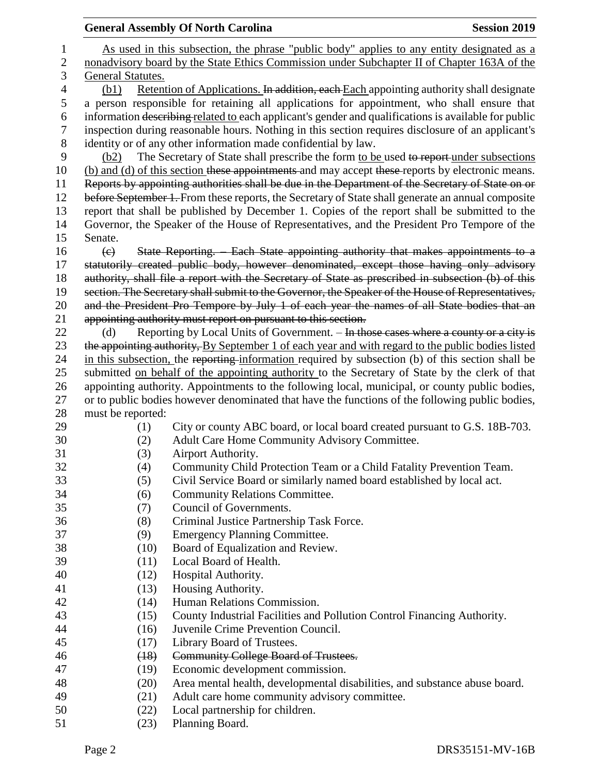|    |                         | <b>General Assembly Of North Carolina</b>                                                                                                                                                          | <b>Session 2019</b> |  |  |  |  |
|----|-------------------------|----------------------------------------------------------------------------------------------------------------------------------------------------------------------------------------------------|---------------------|--|--|--|--|
| 1  |                         | As used in this subsection, the phrase "public body" applies to any entity designated as a                                                                                                         |                     |  |  |  |  |
| 2  |                         | nonadvisory board by the State Ethics Commission under Subchapter II of Chapter 163A of the                                                                                                        |                     |  |  |  |  |
| 3  | General Statutes.       |                                                                                                                                                                                                    |                     |  |  |  |  |
| 4  | (b1)                    | Retention of Applications. In addition, each Each appointing authority shall designate                                                                                                             |                     |  |  |  |  |
| 5  |                         |                                                                                                                                                                                                    |                     |  |  |  |  |
| 6  |                         | a person responsible for retaining all applications for appointment, who shall ensure that<br>information describing related to each applicant's gender and qualifications is available for public |                     |  |  |  |  |
| 7  |                         | inspection during reasonable hours. Nothing in this section requires disclosure of an applicant's                                                                                                  |                     |  |  |  |  |
| 8  |                         | identity or of any other information made confidential by law.                                                                                                                                     |                     |  |  |  |  |
| 9  | (b2)                    | The Secretary of State shall prescribe the form to be used to report under subsections                                                                                                             |                     |  |  |  |  |
| 10 |                         | (b) and (d) of this section these appointments and may accept these reports by electronic means.                                                                                                   |                     |  |  |  |  |
| 11 |                         | Reports by appointing authorities shall be due in the Department of the Secretary of State on or                                                                                                   |                     |  |  |  |  |
| 12 |                         | before September 1. From these reports, the Secretary of State shall generate an annual composite                                                                                                  |                     |  |  |  |  |
| 13 |                         | report that shall be published by December 1. Copies of the report shall be submitted to the                                                                                                       |                     |  |  |  |  |
| 14 |                         | Governor, the Speaker of the House of Representatives, and the President Pro Tempore of the                                                                                                        |                     |  |  |  |  |
| 15 | Senate.                 |                                                                                                                                                                                                    |                     |  |  |  |  |
| 16 | $\left(\epsilon\right)$ | State Reporting. Each State appointing authority that makes appointments to a                                                                                                                      |                     |  |  |  |  |
| 17 |                         | statutorily created public body, however denominated, except those having only advisory                                                                                                            |                     |  |  |  |  |
| 18 |                         | authority, shall file a report with the Secretary of State as prescribed in subsection (b) of this                                                                                                 |                     |  |  |  |  |
| 19 |                         | section. The Secretary shall submit to the Governor, the Speaker of the House of Representatives,                                                                                                  |                     |  |  |  |  |
| 20 |                         | and the President Pro Tempore by July 1 of each year the names of all State bodies that an                                                                                                         |                     |  |  |  |  |
| 21 |                         | appointing authority must report on pursuant to this section.                                                                                                                                      |                     |  |  |  |  |
| 22 | (d)                     | Reporting by Local Units of Government. – In those cases where a county or a city is                                                                                                               |                     |  |  |  |  |
| 23 |                         | the appointing authority, By September 1 of each year and with regard to the public bodies listed                                                                                                  |                     |  |  |  |  |
| 24 |                         | in this subsection, the reporting information required by subsection (b) of this section shall be                                                                                                  |                     |  |  |  |  |
| 25 |                         | submitted on behalf of the appointing authority to the Secretary of State by the clerk of that                                                                                                     |                     |  |  |  |  |
| 26 |                         | appointing authority. Appointments to the following local, municipal, or county public bodies,                                                                                                     |                     |  |  |  |  |
| 27 |                         | or to public bodies however denominated that have the functions of the following public bodies,                                                                                                    |                     |  |  |  |  |
| 28 | must be reported:       |                                                                                                                                                                                                    |                     |  |  |  |  |
| 29 | (1)                     | City or county ABC board, or local board created pursuant to G.S. 18B-703.                                                                                                                         |                     |  |  |  |  |
| 30 | (2)                     | Adult Care Home Community Advisory Committee.                                                                                                                                                      |                     |  |  |  |  |
| 31 | (3)                     | Airport Authority.                                                                                                                                                                                 |                     |  |  |  |  |
| 32 | (4)                     | Community Child Protection Team or a Child Fatality Prevention Team.                                                                                                                               |                     |  |  |  |  |
| 33 | (5)                     | Civil Service Board or similarly named board established by local act.                                                                                                                             |                     |  |  |  |  |
| 34 | (6)                     | <b>Community Relations Committee.</b>                                                                                                                                                              |                     |  |  |  |  |
| 35 | (7)                     | Council of Governments.                                                                                                                                                                            |                     |  |  |  |  |
| 36 | (8)                     | Criminal Justice Partnership Task Force.                                                                                                                                                           |                     |  |  |  |  |
| 37 | (9)                     | <b>Emergency Planning Committee.</b>                                                                                                                                                               |                     |  |  |  |  |
| 38 | (10)                    | Board of Equalization and Review.                                                                                                                                                                  |                     |  |  |  |  |
| 39 | (11)                    | Local Board of Health.                                                                                                                                                                             |                     |  |  |  |  |
| 40 | (12)                    | Hospital Authority.                                                                                                                                                                                |                     |  |  |  |  |
| 41 | (13)                    | Housing Authority.                                                                                                                                                                                 |                     |  |  |  |  |
| 42 | (14)                    | Human Relations Commission.                                                                                                                                                                        |                     |  |  |  |  |
| 43 | (15)                    | County Industrial Facilities and Pollution Control Financing Authority.                                                                                                                            |                     |  |  |  |  |
| 44 | (16)                    | Juvenile Crime Prevention Council.                                                                                                                                                                 |                     |  |  |  |  |
| 45 | (17)                    | Library Board of Trustees.                                                                                                                                                                         |                     |  |  |  |  |
| 46 | (18)                    | <b>Community College Board of Trustees.</b>                                                                                                                                                        |                     |  |  |  |  |
| 47 | (19)                    | Economic development commission.                                                                                                                                                                   |                     |  |  |  |  |
| 48 | (20)                    | Area mental health, developmental disabilities, and substance abuse board.                                                                                                                         |                     |  |  |  |  |
| 49 | (21)                    | Adult care home community advisory committee.                                                                                                                                                      |                     |  |  |  |  |
| 50 | (22)                    | Local partnership for children.                                                                                                                                                                    |                     |  |  |  |  |
| 51 | (23)                    | Planning Board.                                                                                                                                                                                    |                     |  |  |  |  |
|    |                         |                                                                                                                                                                                                    |                     |  |  |  |  |